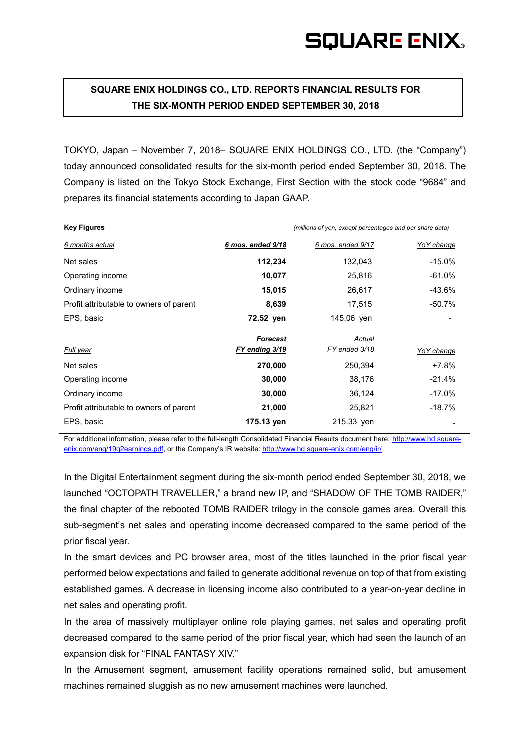# **SQUARE ENIX HOLDINGS CO., LTD. REPORTS FINANCIAL RESULTS FOR THE SIX-MONTH PERIOD ENDED SEPTEMBER 30, 2018**

TOKYO, Japan – November 7, 2018– SQUARE ENIX HOLDINGS CO., LTD. (the "Company") today announced consolidated results for the six-month period ended September 30, 2018. The Company is listed on the Tokyo Stock Exchange, First Section with the stock code "9684" and prepares its financial statements according to Japan GAAP.

| <b>Key Figures</b>                      |                   | (millions of yen, except percentages and per share data) |            |
|-----------------------------------------|-------------------|----------------------------------------------------------|------------|
| 6 months actual                         | 6 mos. ended 9/18 | 6 mos. ended 9/17                                        | YoY change |
| Net sales                               | 112,234           | 132,043                                                  | $-15.0\%$  |
| Operating income                        | 10,077            | 25,816                                                   | $-61.0%$   |
| Ordinary income                         | 15,015            | 26,617                                                   | -43.6%     |
| Profit attributable to owners of parent | 8,639             | 17,515                                                   | -50.7%     |
| EPS, basic                              | 72.52 yen         | 145.06 yen                                               |            |
|                                         | <b>Forecast</b>   | Actual                                                   |            |
| <b>Full year</b>                        | FY ending 3/19    | FY ended 3/18                                            | YoY change |
| Net sales                               | 270,000           | 250,394                                                  | $+7.8%$    |
| Operating income                        | 30,000            | 38,176                                                   | $-21.4%$   |
| Ordinary income                         | 30,000            | 36,124                                                   | $-17.0%$   |
| Profit attributable to owners of parent | 21,000            | 25,821                                                   | -18.7%     |
| EPS, basic                              | 175.13 yen        | 215.33 yen                                               |            |

For additional information, please refer to the full-length Consolidated Financial Results document here: http://www.hd.squareenix.com/eng/19q2earnings.pdf, or the Company's IR website:<http://www.hd.square-enix.com/eng/ir/>

In the Digital Entertainment segment during the six-month period ended September 30, 2018, we launched "OCTOPATH TRAVELLER," a brand new IP, and "SHADOW OF THE TOMB RAIDER," the final chapter of the rebooted TOMB RAIDER trilogy in the console games area. Overall this sub-segment's net sales and operating income decreased compared to the same period of the prior fiscal year.

In the smart devices and PC browser area, most of the titles launched in the prior fiscal year performed below expectations and failed to generate additional revenue on top of that from existing established games. A decrease in licensing income also contributed to a year-on-year decline in net sales and operating profit.

In the area of massively multiplayer online role playing games, net sales and operating profit decreased compared to the same period of the prior fiscal year, which had seen the launch of an expansion disk for "FINAL FANTASY XIV."

In the Amusement segment, amusement facility operations remained solid, but amusement machines remained sluggish as no new amusement machines were launched.